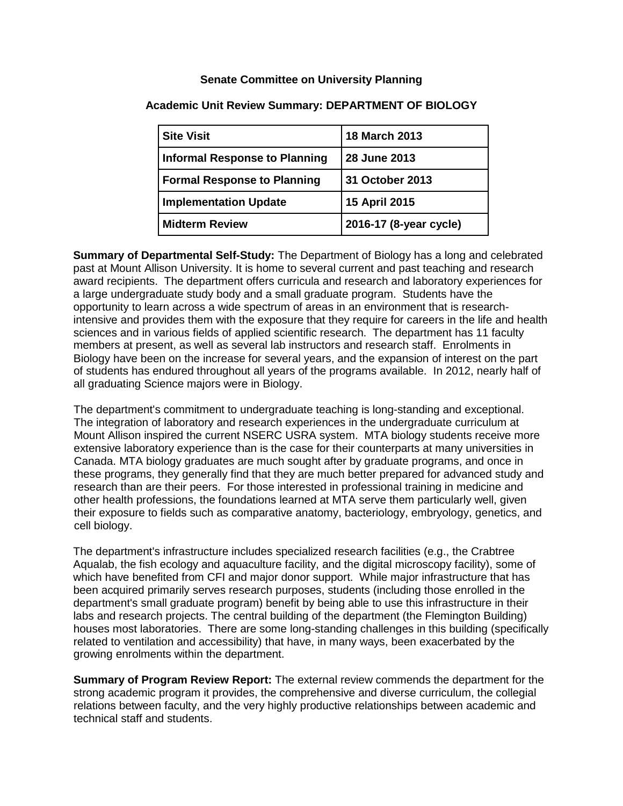## **Senate Committee on University Planning**

| <b>Site Visit</b>                    | 18 March 2013          |
|--------------------------------------|------------------------|
| <b>Informal Response to Planning</b> | 28 June 2013           |
| <b>Formal Response to Planning</b>   | 31 October 2013        |
| <b>Implementation Update</b>         | 15 April 2015          |
| <b>Midterm Review</b>                | 2016-17 (8-year cycle) |

## **Academic Unit Review Summary: DEPARTMENT OF BIOLOGY**

**Summary of Departmental Self-Study:** The Department of Biology has a long and celebrated past at Mount Allison University. It is home to several current and past teaching and research award recipients. The department offers curricula and research and laboratory experiences for a large undergraduate study body and a small graduate program. Students have the opportunity to learn across a wide spectrum of areas in an environment that is researchintensive and provides them with the exposure that they require for careers in the life and health sciences and in various fields of applied scientific research. The department has 11 faculty members at present, as well as several lab instructors and research staff. Enrolments in Biology have been on the increase for several years, and the expansion of interest on the part of students has endured throughout all years of the programs available. In 2012, nearly half of all graduating Science majors were in Biology.

The department's commitment to undergraduate teaching is long-standing and exceptional. The integration of laboratory and research experiences in the undergraduate curriculum at Mount Allison inspired the current NSERC USRA system. MTA biology students receive more extensive laboratory experience than is the case for their counterparts at many universities in Canada. MTA biology graduates are much sought after by graduate programs, and once in these programs, they generally find that they are much better prepared for advanced study and research than are their peers. For those interested in professional training in medicine and other health professions, the foundations learned at MTA serve them particularly well, given their exposure to fields such as comparative anatomy, bacteriology, embryology, genetics, and cell biology.

The department's infrastructure includes specialized research facilities (e.g., the Crabtree Aqualab, the fish ecology and aquaculture facility, and the digital microscopy facility), some of which have benefited from CFI and major donor support. While major infrastructure that has been acquired primarily serves research purposes, students (including those enrolled in the department's small graduate program) benefit by being able to use this infrastructure in their labs and research projects. The central building of the department (the Flemington Building) houses most laboratories. There are some long-standing challenges in this building (specifically related to ventilation and accessibility) that have, in many ways, been exacerbated by the growing enrolments within the department.

**Summary of Program Review Report:** The external review commends the department for the strong academic program it provides, the comprehensive and diverse curriculum, the collegial relations between faculty, and the very highly productive relationships between academic and technical staff and students.